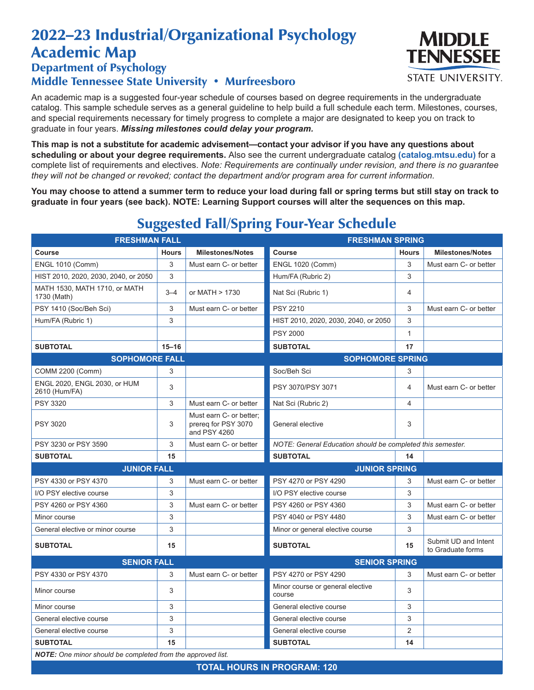## 2022–23 Industrial/Organizational Psychology Academic Map

## Department of Psychology Middle Tennessee State University • Murfreesboro

An academic map is a suggested four-year schedule of courses based on degree requirements in the undergraduate catalog. This sample schedule serves as a general guideline to help build a full schedule each term. Milestones, courses, and special requirements necessary for timely progress to complete a major are designated to keep you on track to graduate in four years. *Missing milestones could delay your program.*

**This map is not a substitute for academic advisement—contact your advisor if you have any questions about scheduling or about your degree requirements.** Also see the current undergraduate catalog **(catalog.mtsu.edu)** for a complete list of requirements and electives. *Note: Requirements are continually under revision, and there is no guarantee they will not be changed or revoked; contact the department and/or program area for current information.*

**You may choose to attend a summer term to reduce your load during fall or spring terms but still stay on track to graduate in four years (see back). NOTE: Learning Support courses will alter the sequences on this map.**

| <b>FRESHMAN FALL</b>                                               |              | <b>FRESHMAN SPRING</b>                                         |                                                            |                |                                           |  |  |  |
|--------------------------------------------------------------------|--------------|----------------------------------------------------------------|------------------------------------------------------------|----------------|-------------------------------------------|--|--|--|
| <b>Course</b>                                                      | <b>Hours</b> | <b>Milestones/Notes</b>                                        | <b>Course</b>                                              | <b>Hours</b>   | <b>Milestones/Notes</b>                   |  |  |  |
| <b>ENGL 1010 (Comm)</b>                                            | 3            | Must earn C- or better                                         | <b>ENGL 1020 (Comm)</b>                                    | 3              | Must earn C- or better                    |  |  |  |
| HIST 2010, 2020, 2030, 2040, or 2050                               | 3            |                                                                | Hum/FA (Rubric 2)                                          | 3              |                                           |  |  |  |
| MATH 1530, MATH 1710, or MATH<br>1730 (Math)                       | $3 - 4$      | or MATH > 1730                                                 | Nat Sci (Rubric 1)                                         | 4              |                                           |  |  |  |
| PSY 1410 (Soc/Beh Sci)                                             | 3            | Must earn C- or better                                         | <b>PSY 2210</b>                                            | 3              | Must earn C- or better                    |  |  |  |
| Hum/FA (Rubric 1)                                                  | 3            |                                                                | HIST 2010, 2020, 2030, 2040, or 2050                       | 3              |                                           |  |  |  |
|                                                                    |              |                                                                | <b>PSY 2000</b>                                            | $\mathbf{1}$   |                                           |  |  |  |
| <b>SUBTOTAL</b>                                                    | $15 - 16$    |                                                                | <b>SUBTOTAL</b>                                            | 17             |                                           |  |  |  |
| <b>SOPHOMORE FALL</b>                                              |              |                                                                | <b>SOPHOMORE SPRING</b>                                    |                |                                           |  |  |  |
| COMM 2200 (Comm)                                                   | 3            |                                                                | Soc/Beh Sci                                                | 3              |                                           |  |  |  |
| ENGL 2020, ENGL 2030, or HUM<br>2610 (Hum/FA)                      | 3            |                                                                | PSY 3070/PSY 3071                                          | 4              | Must earn C- or better                    |  |  |  |
| <b>PSY 3320</b>                                                    | 3            | Must earn C- or better                                         | Nat Sci (Rubric 2)                                         | 4              |                                           |  |  |  |
| <b>PSY 3020</b>                                                    | 3            | Must earn C- or better;<br>prereg for PSY 3070<br>and PSY 4260 | General elective                                           | 3              |                                           |  |  |  |
| PSY 3230 or PSY 3590                                               | 3            | Must earn C- or better                                         | NOTE: General Education should be completed this semester. |                |                                           |  |  |  |
| <b>SUBTOTAL</b>                                                    | 15           |                                                                | <b>SUBTOTAL</b>                                            | 14             |                                           |  |  |  |
| <b>JUNIOR FALL</b>                                                 |              | <b>JUNIOR SPRING</b>                                           |                                                            |                |                                           |  |  |  |
| PSY 4330 or PSY 4370                                               | 3            | Must earn C- or better                                         | PSY 4270 or PSY 4290                                       | 3              | Must earn C- or better                    |  |  |  |
| I/O PSY elective course                                            | 3            |                                                                | I/O PSY elective course                                    | 3              |                                           |  |  |  |
| PSY 4260 or PSY 4360                                               | 3            | Must earn C- or better                                         | PSY 4260 or PSY 4360                                       | 3              | Must earn C- or better                    |  |  |  |
| Minor course                                                       | 3            |                                                                | PSY 4040 or PSY 4480                                       | 3              | Must earn C- or better                    |  |  |  |
| General elective or minor course                                   | 3            |                                                                | Minor or general elective course                           | 3              |                                           |  |  |  |
| <b>SUBTOTAL</b>                                                    | 15           |                                                                | <b>SUBTOTAL</b>                                            | 15             | Submit UD and Intent<br>to Graduate forms |  |  |  |
| <b>SENIOR FALL</b>                                                 |              |                                                                | <b>SENIOR SPRING</b>                                       |                |                                           |  |  |  |
| PSY 4330 or PSY 4370                                               | 3            | Must earn C- or better                                         | PSY 4270 or PSY 4290                                       | 3              | Must earn C- or better                    |  |  |  |
| Minor course                                                       | 3            |                                                                | Minor course or general elective<br>course                 | 3              |                                           |  |  |  |
| Minor course                                                       | 3            |                                                                | General elective course                                    | 3              |                                           |  |  |  |
| General elective course                                            | 3            |                                                                | General elective course                                    | 3              |                                           |  |  |  |
| General elective course                                            | 3            |                                                                | General elective course                                    | $\overline{2}$ |                                           |  |  |  |
| <b>SUBTOTAL</b>                                                    | 15           |                                                                | <b>SUBTOTAL</b>                                            | 14             |                                           |  |  |  |
| <b>NOTE:</b> One minor should be completed from the approved list. |              |                                                                |                                                            |                |                                           |  |  |  |

## Suggested Fall/Spring Four-Year Schedule

**TOTAL HOURS IN PROGRAM: 120**